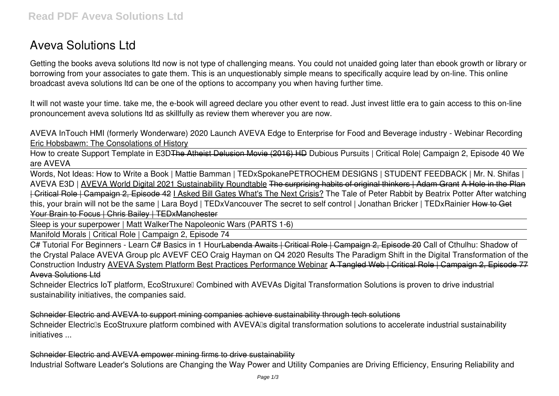# **Aveva Solutions Ltd**

Getting the books **aveva solutions ltd** now is not type of challenging means. You could not unaided going later than ebook growth or library or borrowing from your associates to gate them. This is an unquestionably simple means to specifically acquire lead by on-line. This online broadcast aveva solutions ltd can be one of the options to accompany you when having further time.

It will not waste your time. take me, the e-book will agreed declare you other event to read. Just invest little era to gain access to this on-line pronouncement **aveva solutions ltd** as skillfully as review them wherever you are now.

*AVEVA InTouch HMI (formerly Wonderware) 2020 Launch AVEVA Edge to Enterprise for Food and Beverage industry - Webinar Recording* Eric Hobsbawm: The Consolations of History

How to create Support Template in E3DThe Atheist Delusion Movie (2016) HD **Dubious Pursuits | Critical Role| Campaign 2, Episode 40** *We are AVEVA*

Words, Not Ideas: How to Write a Book | Mattie Bamman | TEDxSpokane*PETROCHEM DESIGNS | STUDENT FEEDBACK | Mr. N. Shifas | AVEVA E3D |* AVEVA World Digital 2021 Sustainability Roundtable The surprising habits of original thinkers | Adam Grant A Hole in the Plan | Critical Role | Campaign 2, Episode 42 I Asked Bill Gates What's The Next Crisis? *The Tale of Peter Rabbit by Beatrix Potter After watching this, your brain will not be the same | Lara Boyd | TEDxVancouver The secret to self control | Jonathan Bricker | TEDxRainier* How to Get Your Brain to Focus | Chris Bailey | TEDxManchester

Sleep is your superpower | Matt Walker*The Napoleonic Wars (PARTS 1-6)*

Manifold Morals | Critical Role | Campaign 2, Episode 74

C# Tutorial For Beginners - Learn C# Basics in 1 HourLabenda Awaits | Critical Role | Campaign 2, Episode 20 Call of Cthulhu: Shadow of the Crystal Palace **AVEVA Group plc AVEVF CEO Craig Hayman on Q4 2020 Results The Paradigm Shift in the Digital Transformation of the Construction Industry** AVEVA System Platform Best Practices Performance Webinar A Tangled Web | Critical Role | Campaign 2, Episode 77 Aveva Solutions Ltd

Schneider Electrics IoT platform, EcoStruxure∏ Combined with AVEVAs Digital Transformation Solutions is proven to drive industrial sustainability initiatives, the companies said.

Schneider Electric and AVEVA to support mining companies achieve sustainability through tech solutions Schneider Electric<sup>®</sup>s EcoStruxure platform combined with AVEVA<sup>®</sup>s digital transformation solutions to accelerate industrial sustainability initiatives ...

Schneider Electric and AVEVA empower mining firms to drive sustainability Industrial Software Leader's Solutions are Changing the Way Power and Utility Companies are Driving Efficiency, Ensuring Reliability and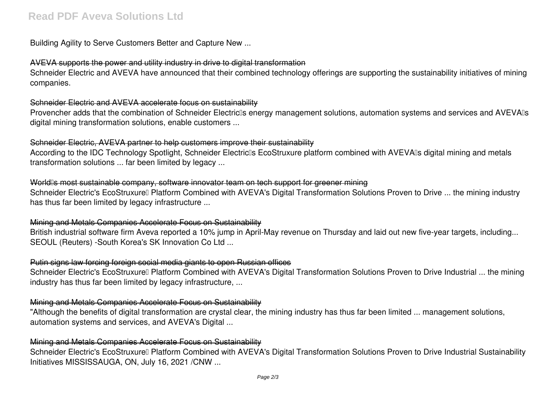Building Agility to Serve Customers Better and Capture New ...

## AVEVA supports the power and utility industry in drive to digital transformation

Schneider Electric and AVEVA have announced that their combined technology offerings are supporting the sustainability initiatives of mining companies.

## Schneider Electric and AVEVA accelerate focus on sustainability

Provencher adds that the combination of Schneider Electric<sup>'</sup>s energy management solutions, automation systems and services and AVEVA<sup>®</sup>s digital mining transformation solutions, enable customers ...

## Schneider Electric, AVEVA partner to help customers improve their sustainability

According to the IDC Technology Spotlight, Schneider Electric<sup>®</sup>s EcoStruxure platform combined with AVEVA<sup>®</sup>s digital mining and metals transformation solutions ... far been limited by legacy ...

## World<sup>n</sup>s most sustainable company, software innovator team on tech support for greener mining

Schneider Electric's EcoStruxure<sup>[]</sup> Platform Combined with AVEVA's Digital Transformation Solutions Proven to Drive ... the mining industry has thus far been limited by legacy infrastructure ...

## Mining and Metals Companies Accelerate Focus on Sustainability

British industrial software firm Aveva reported a 10% jump in April-May revenue on Thursday and laid out new five-year targets, including... SEOUL (Reuters) -South Korea's SK Innovation Co Ltd ...

## Putin signs law forcing foreign social media giants to open Russian offices

Schneider Electric's EcoStruxure<sup>[]</sup> Platform Combined with AVEVA's Digital Transformation Solutions Proven to Drive Industrial ... the mining industry has thus far been limited by legacy infrastructure, ...

## Mining and Metals Companies Accelerate Focus on Sustainability

"Although the benefits of digital transformation are crystal clear, the mining industry has thus far been limited ... management solutions, automation systems and services, and AVEVA's Digital ...

## Mining and Metals Companies Accelerate Focus on Sustainability

Schneider Electric's EcoStruxure<sup>[]</sup> Platform Combined with AVEVA's Digital Transformation Solutions Proven to Drive Industrial Sustainability Initiatives MISSISSAUGA, ON, July 16, 2021 /CNW ...